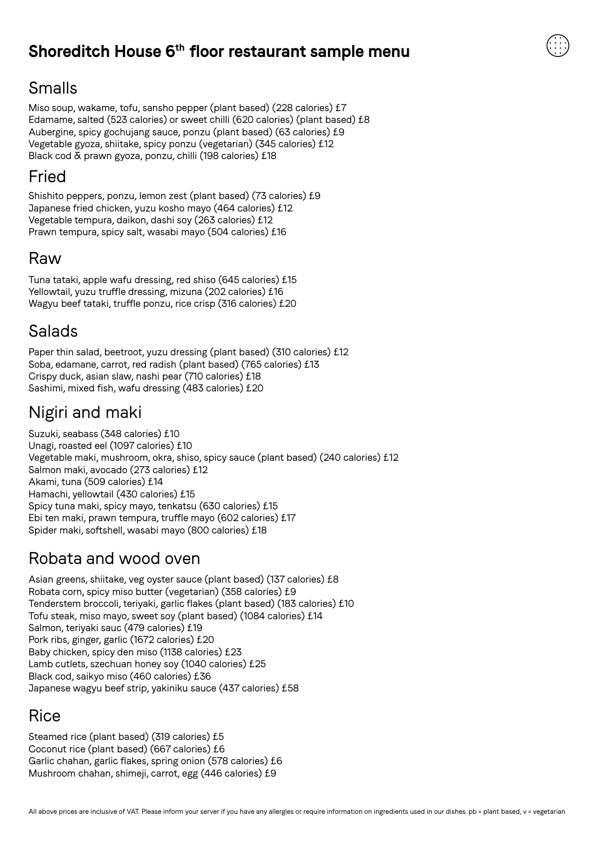#### **Shoreditch House 6th floor restaurant sample menu**

# Smalls

Miso soup, wakame, tofu, sansho pepper (plant based) (228 calories) £7 Edamame, salted (523 calories) or sweet chilli (620 calories) (plant based) £8 Aubergine, spicy gochujang sauce, ponzu (plant based) (63 calories) £9 Vegetable gyoza, shiitake, spicy ponzu (vegetarian) (345 calories) £12 Black cod & prawn gyoza, ponzu, chilli (198 calories) £18

# Fried

Shishito peppers, ponzu, lemon zest (plant based) (73 calories) £9 Japanese fried chicken, yuzu kosho mayo (464 calories) £12 Vegetable tempura, daikon, dashi soy (263 calories) £12 Prawn tempura, spicy salt, wasabi mayo (504 calories) £16

#### Raw

Tuna tataki, apple wafu dressing, red shiso (645 calories) £15 Yellowtail, yuzu truffle dressing, mizuna (202 calories) £16 Wagyu beef tataki, truffle ponzu, rice crisp (316 calories) £20

# Salads

Paper thin salad, beetroot, yuzu dressing (plant based) (310 calories) £12 Soba, edamane, carrot, red radish (plant based) (765 calories) £13 Crispy duck, asian slaw, nashi pear (710 calories) £18 Sashimi, mixed fish, wafu dressing (483 calories) £20

# Nigiri and maki

Suzuki, seabass (348 calories) £10 Unagi, roasted eel (1097 calories) £10 Vegetable maki, mushroom, okra, shiso, spicy sauce (plant based) (240 calories) £12 Salmon maki, avocado (273 calories) £12 Akami, tuna (509 calories) £14 Hamachi, yellowtail (430 calories) £15 Spicy tuna maki, spicy mayo, tenkatsu (630 calories) £15 Ebi ten maki, prawn tempura, truffle mayo (602 calories) £17 Spider maki, softshell, wasabi mayo (800 calories) £18

# Robata and wood oven

Asian greens, shiitake, veg oyster sauce (plant based) (137 calories) £8 Robata corn, spicy miso butter (vegetarian) (358 calories) £9 Tenderstem broccoli, teriyaki, garlic flakes (plant based) (183 calories) £10 Tofu steak, miso mayo, sweet soy (plant based) (1084 calories) £14 Salmon, teriyaki sauc (479 calories) £19 Pork ribs, ginger, garlic (1672 calories) £20 Baby chicken, spicy den miso (1138 calories) £23 Lamb cutlets, szechuan honey soy (1040 calories) £25 Black cod, saikyo miso (460 calories) £36 Japanese wagyu beef strip, yakiniku sauce (437 calories) £58

# Rice

Steamed rice (plant based) (319 calories) £5 Coconut rice (plant based) (667 calories) £6 Garlic chahan, garlic flakes, spring onion (578 calories) £6 Mushroom chahan, shimeji, carrot, egg (446 calories) £9